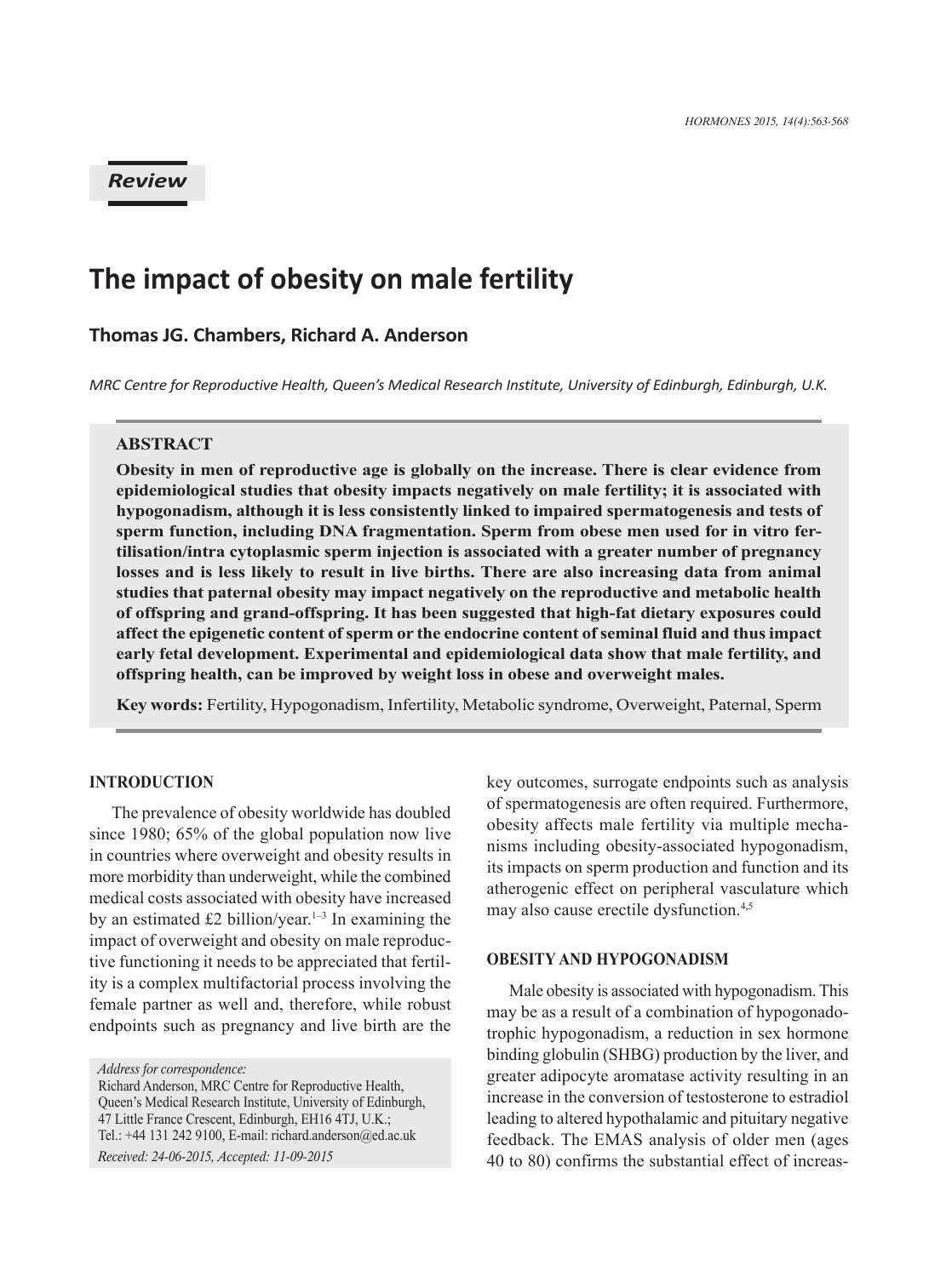## *Review*

# **The impact of obesity on male fertility**

## **Thomas JG. Chambers, Richard A. Anderson**

*MRC Centre for Reproductive Health, Queen's Medical Research Institute, University of Edinburgh, Edinburgh, U.K.*

## **ABSTRACT**

**Obesity in men of reproductive age is globally on the increase. There is clear evidence from epidemiological studies that obesity impacts negatively on male fertility; it is associated with hypogonadism, although it is less consistently linked to impaired spermatogenesis and tests of sperm function, including DNA fragmentation. Sperm from obese men used for in vitro fertilisation/intra cytoplasmic sperm injection is associated with a greater number of pregnancy losses and is less likely to result in live births. There are also increasing data from animal studies that paternal obesity may impact negatively on the reproductive and metabolic health of offspring and grand-offspring. It has been suggested that high-fat dietary exposures could affect the epigenetic content of sperm or the endocrine content of seminal fluid and thus impact early fetal development. Experimental and epidemiological data show that male fertility, and offspring health, can be improved by weight loss in obese and overweight males.**

**Key words:** Fertility, Hypogonadism, Infertility, Metabolic syndrome, Overweight, Paternal, Sperm

## **Introduction**

The prevalence of obesity worldwide has doubled since 1980; 65% of the global population now live in countries where overweight and obesity results in more morbidity than underweight, while the combined medical costs associated with obesity have increased by an estimated £2 billion/year.<sup>1-3</sup> In examining the impact of overweight and obesity on male reproductive functioning it needs to be appreciated that fertility is a complex multifactorial process involving the female partner as well and, therefore, while robust endpoints such as pregnancy and live birth are the

*Received: 24-06-2015, Accepted: 11-09-2015*

key outcomes, surrogate endpoints such as analysis of spermatogenesis are often required. Furthermore, obesity affects male fertility via multiple mechanisms including obesity-associated hypogonadism, its impacts on sperm production and function and its atherogenic effect on peripheral vasculature which may also cause erectile dysfunction.4,5

#### **Obesity and hypogonadism**

Male obesity is associated with hypogonadism. This may be as a result of a combination of hypogonadotrophic hypogonadism, a reduction in sex hormone binding globulin (SHBG) production by the liver, and greater adipocyte aromatase activity resulting in an increase in the conversion of testosterone to estradiol leading to altered hypothalamic and pituitary negative feedback. The EMAS analysis of older men (ages 40 to 80) confirms the substantial effect of increas-

*Address for correspondence:*

Richard Anderson, MRC Centre for Reproductive Health, Queen's Medical Research Institute, University of Edinburgh, 47 Little France Crescent, Edinburgh, EH16 4TJ, U.K.; Tel.: +44 131 242 9100, E-mail: richard.anderson@ed.ac.uk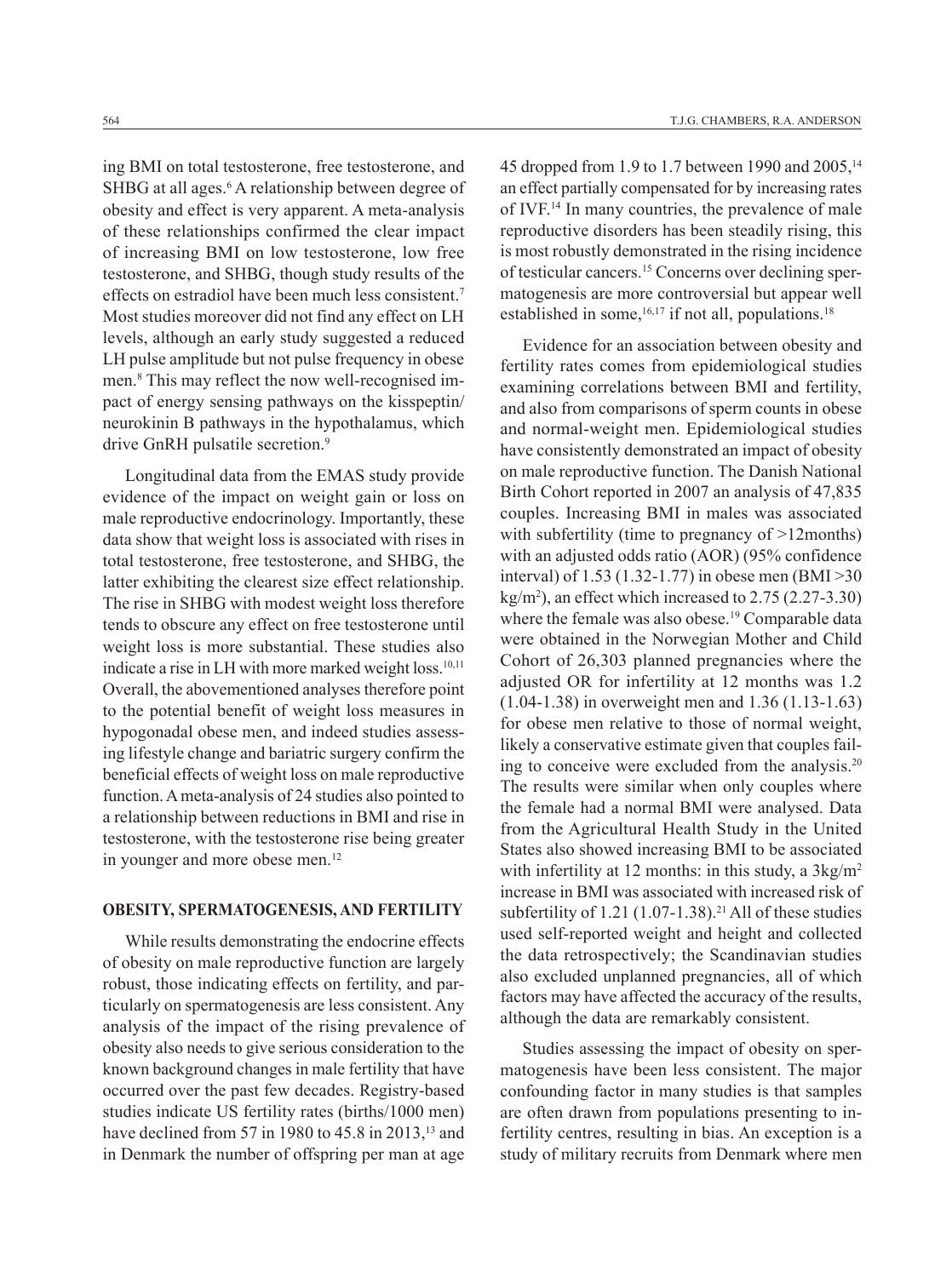ing BMI on total testosterone, free testosterone, and SHBG at all ages.<sup>6</sup> A relationship between degree of obesity and effect is very apparent. A meta-analysis of these relationships confirmed the clear impact of increasing BMI on low testosterone, low free testosterone, and SHBG, though study results of the effects on estradiol have been much less consistent.7 Most studies moreover did not find any effect on LH levels, although an early study suggested a reduced LH pulse amplitude but not pulse frequency in obese men.8 This may reflect the now well-recognised impact of energy sensing pathways on the kisspeptin/ neurokinin B pathways in the hypothalamus, which drive GnRH pulsatile secretion.<sup>9</sup>

Longitudinal data from the EMAS study provide evidence of the impact on weight gain or loss on male reproductive endocrinology. Importantly, these data show that weight loss is associated with rises in total testosterone, free testosterone, and SHBG, the latter exhibiting the clearest size effect relationship. The rise in SHBG with modest weight loss therefore tends to obscure any effect on free testosterone until weight loss is more substantial. These studies also indicate a rise in LH with more marked weight loss.<sup>10,11</sup> Overall, the abovementioned analyses therefore point to the potential benefit of weight loss measures in hypogonadal obese men, and indeed studies assessing lifestyle change and bariatric surgery confirm the beneficial effects of weight loss on male reproductive function. A meta-analysis of 24 studies also pointed to a relationship between reductions in BMI and rise in testosterone, with the testosterone rise being greater in younger and more obese men.<sup>12</sup>

### **Obesity, spermatogenesis, and fertility**

While results demonstrating the endocrine effects of obesity on male reproductive function are largely robust, those indicating effects on fertility, and particularly on spermatogenesis are less consistent. Any analysis of the impact of the rising prevalence of obesity also needs to give serious consideration to the known background changes in male fertility that have occurred over the past few decades. Registry-based studies indicate US fertility rates (births/1000 men) have declined from 57 in 1980 to  $45.8$  in 2013,<sup>13</sup> and in Denmark the number of offspring per man at age 45 dropped from 1.9 to 1.7 between 1990 and 2005,<sup>14</sup> an effect partially compensated for by increasing rates of IVF.14 In many countries, the prevalence of male reproductive disorders has been steadily rising, this is most robustly demonstrated in the rising incidence of testicular cancers.15 Concerns over declining spermatogenesis are more controversial but appear well established in some,  $16,17$  if not all, populations.<sup>18</sup>

Evidence for an association between obesity and fertility rates comes from epidemiological studies examining correlations between BMI and fertility, and also from comparisons of sperm counts in obese and normal-weight men. Epidemiological studies have consistently demonstrated an impact of obesity on male reproductive function. The Danish National Birth Cohort reported in 2007 an analysis of 47,835 couples. Increasing BMI in males was associated with subfertility (time to pregnancy of >12months) with an adjusted odds ratio (AOR) (95% confidence interval) of 1.53 (1.32-1.77) in obese men (BMI >30  $kg/m<sup>2</sup>$ ), an effect which increased to 2.75 (2.27-3.30) where the female was also obese.<sup>19</sup> Comparable data were obtained in the Norwegian Mother and Child Cohort of 26,303 planned pregnancies where the adjusted OR for infertility at 12 months was 1.2 (1.04-1.38) in overweight men and 1.36 (1.13-1.63) for obese men relative to those of normal weight, likely a conservative estimate given that couples failing to conceive were excluded from the analysis. $20$ The results were similar when only couples where the female had a normal BMI were analysed. Data from the Agricultural Health Study in the United States also showed increasing BMI to be associated with infertility at 12 months: in this study, a  $3kg/m<sup>2</sup>$ increase in BMI was associated with increased risk of subfertility of  $1.21$  (1.07-1.38).<sup>21</sup> All of these studies used self-reported weight and height and collected the data retrospectively; the Scandinavian studies also excluded unplanned pregnancies, all of which factors may have affected the accuracy of the results, although the data are remarkably consistent.

Studies assessing the impact of obesity on spermatogenesis have been less consistent. The major confounding factor in many studies is that samples are often drawn from populations presenting to infertility centres, resulting in bias. An exception is a study of military recruits from Denmark where men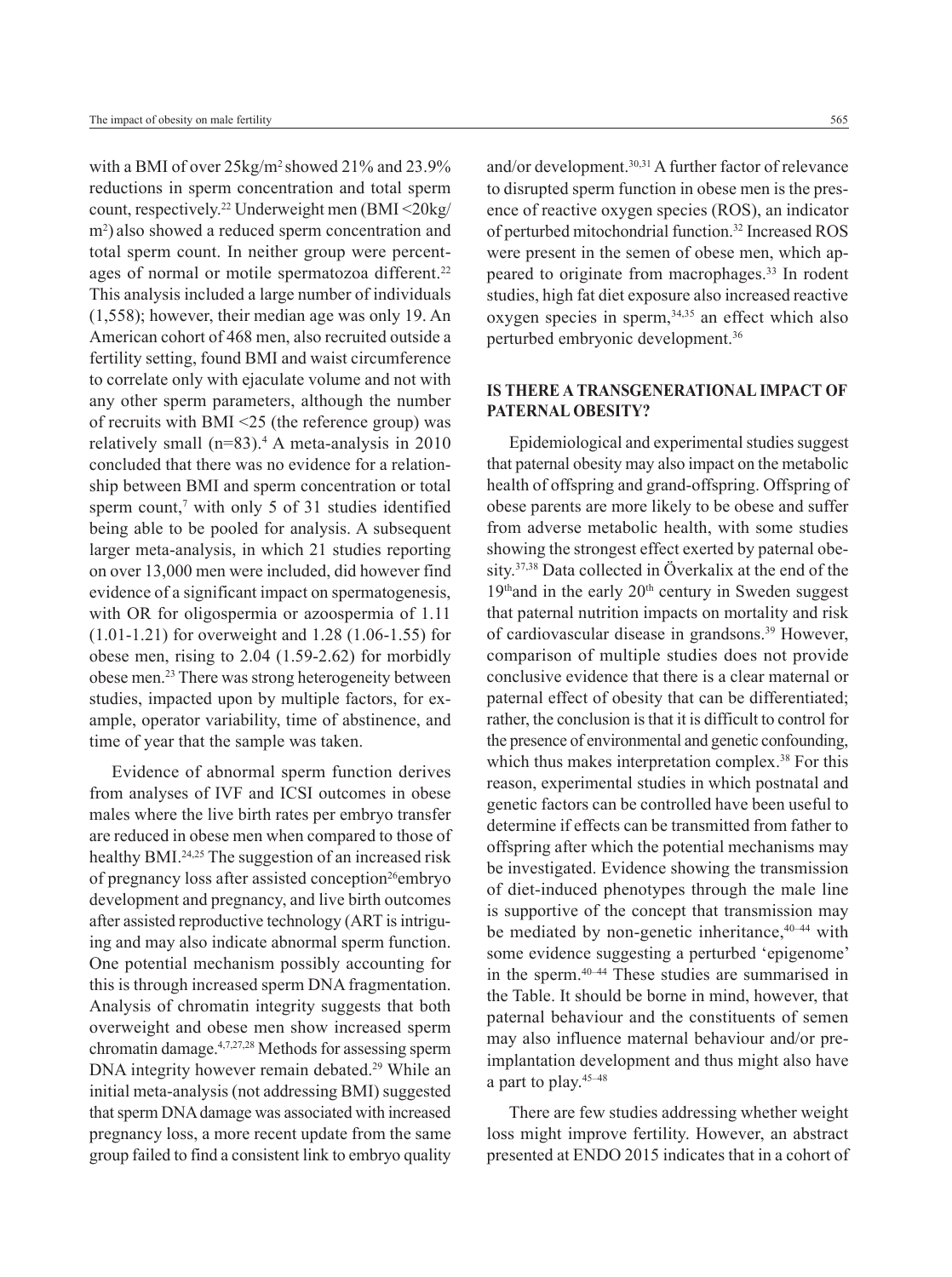with a BMI of over 25kg/m<sup>2</sup>showed 21% and 23.9% reductions in sperm concentration and total sperm count, respectively.22 Underweight men (BMI <20kg/ m2 ) also showed a reduced sperm concentration and total sperm count. In neither group were percentages of normal or motile spermatozoa different.<sup>22</sup> This analysis included a large number of individuals (1,558); however, their median age was only 19. An American cohort of 468 men, also recruited outside a fertility setting, found BMI and waist circumference to correlate only with ejaculate volume and not with any other sperm parameters, although the number of recruits with BMI <25 (the reference group) was relatively small  $(n=83)$ .<sup>4</sup> A meta-analysis in 2010 concluded that there was no evidence for a relationship between BMI and sperm concentration or total sperm count,<sup> $7$ </sup> with only 5 of 31 studies identified being able to be pooled for analysis. A subsequent larger meta-analysis, in which 21 studies reporting on over 13,000 men were included, did however find evidence of a significant impact on spermatogenesis, with OR for oligospermia or azoospermia of 1.11 (1.01-1.21) for overweight and 1.28 (1.06-1.55) for obese men, rising to 2.04 (1.59-2.62) for morbidly obese men.23 There was strong heterogeneity between studies, impacted upon by multiple factors, for example, operator variability, time of abstinence, and time of year that the sample was taken.

Evidence of abnormal sperm function derives from analyses of IVF and ICSI outcomes in obese males where the live birth rates per embryo transfer are reduced in obese men when compared to those of healthy BMI.<sup>24,25</sup> The suggestion of an increased risk of pregnancy loss after assisted conception<sup>26</sup>embryo development and pregnancy, and live birth outcomes after assisted reproductive technology (ART is intriguing and may also indicate abnormal sperm function. One potential mechanism possibly accounting for this is through increased sperm DNA fragmentation. Analysis of chromatin integrity suggests that both overweight and obese men show increased sperm chromatin damage.4,7,27,28 Methods for assessing sperm DNA integrity however remain debated.29 While an initial meta-analysis (not addressing BMI) suggested that sperm DNA damage was associated with increased pregnancy loss, a more recent update from the same group failed to find a consistent link to embryo quality and/or development.30,31 A further factor of relevance to disrupted sperm function in obese men is the presence of reactive oxygen species (ROS), an indicator of perturbed mitochondrial function.<sup>32</sup> Increased ROS were present in the semen of obese men, which appeared to originate from macrophages.<sup>33</sup> In rodent studies, high fat diet exposure also increased reactive oxygen species in sperm,34,35 an effect which also perturbed embryonic development.36

## **Is there a transgenerational impact of paternal obesity?**

Epidemiological and experimental studies suggest that paternal obesity may also impact on the metabolic health of offspring and grand-offspring. Offspring of obese parents are more likely to be obese and suffer from adverse metabolic health, with some studies showing the strongest effect exerted by paternal obesity.37,38 Data collected in Överkalix at the end of the  $19<sup>th</sup>$  and in the early  $20<sup>th</sup>$  century in Sweden suggest that paternal nutrition impacts on mortality and risk of cardiovascular disease in grandsons.39 However, comparison of multiple studies does not provide conclusive evidence that there is a clear maternal or paternal effect of obesity that can be differentiated; rather, the conclusion is that it is difficult to control for the presence of environmental and genetic confounding, which thus makes interpretation complex.<sup>38</sup> For this reason, experimental studies in which postnatal and genetic factors can be controlled have been useful to determine if effects can be transmitted from father to offspring after which the potential mechanisms may be investigated. Evidence showing the transmission of diet-induced phenotypes through the male line is supportive of the concept that transmission may be mediated by non-genetic inheritance,<sup>40-44</sup> with some evidence suggesting a perturbed 'epigenome' in the sperm.40–44 These studies are summarised in the Table. It should be borne in mind, however, that paternal behaviour and the constituents of semen may also influence maternal behaviour and/or preimplantation development and thus might also have a part to play.45–48

There are few studies addressing whether weight loss might improve fertility. However, an abstract presented at ENDO 2015 indicates that in a cohort of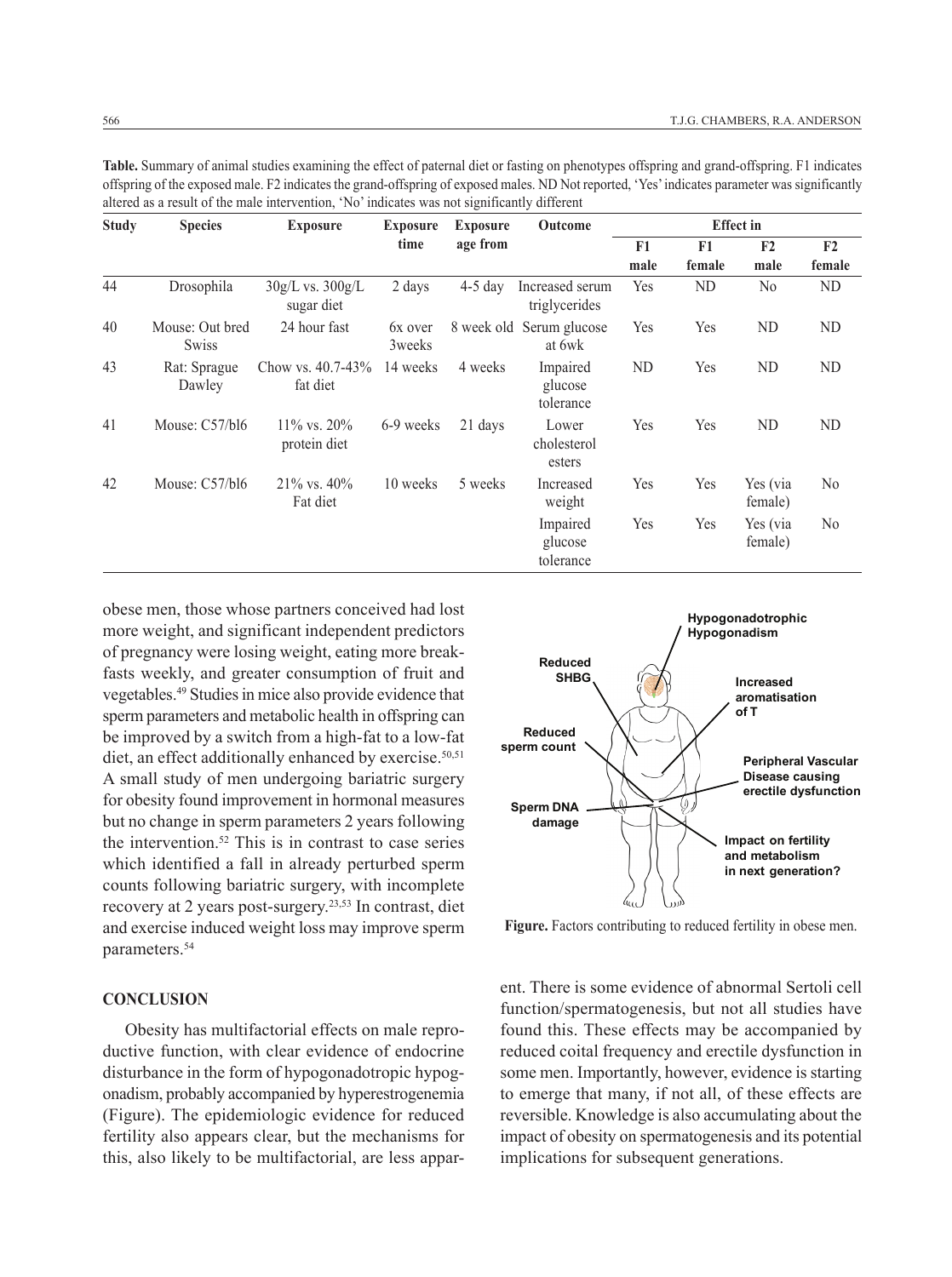| <b>Study</b> | <b>Species</b>                  | <b>Exposure</b>                    | <b>Exposure</b>    | <b>Exposure</b> | Outcome                            | <b>Effect</b> in |           |                     |                |
|--------------|---------------------------------|------------------------------------|--------------------|-----------------|------------------------------------|------------------|-----------|---------------------|----------------|
|              |                                 |                                    | time               | age from        |                                    | F1               | F1        | F <sub>2</sub>      | F <sub>2</sub> |
|              |                                 |                                    |                    |                 |                                    | male             | female    | male                | female         |
| 44           | Drosophila                      | $30g/L$ vs. $300g/L$<br>sugar diet | 2 days             | $4-5$ day       | Increased serum<br>triglycerides   | Yes              | <b>ND</b> | N <sub>0</sub>      | ND             |
| 40           | Mouse: Out bred<br><b>Swiss</b> | 24 hour fast                       | 6x over<br>3 weeks |                 | 8 week old Serum glucose<br>at 6wk | Yes              | Yes       | ND                  | <b>ND</b>      |
| 43           | Rat: Sprague<br>Dawley          | Chow vs. $40.7 - 43\%$<br>fat diet | 14 weeks           | 4 weeks         | Impaired<br>glucose<br>tolerance   | ND               | Yes       | ND                  | ND             |
| 41           | Mouse: C57/bl6                  | $11\%$ vs. $20\%$<br>protein diet  | 6-9 weeks          | 21 days         | Lower<br>cholesterol<br>esters     | Yes              | Yes       | ND                  | ND             |
| 42           | Mouse: $C57/b16$                | $21\%$ vs. $40\%$<br>Fat diet      | 10 weeks           | 5 weeks         | Increased<br>weight                | Yes              | Yes       | Yes (via<br>female) | N <sub>0</sub> |
|              |                                 |                                    |                    |                 | Impaired<br>glucose<br>tolerance   | Yes              | Yes       | Yes (via<br>female) | N <sub>0</sub> |

**Table.** Summary of animal studies examining the effect of paternal diet or fasting on phenotypes offspring and grand-offspring. F1 indicates offspring of the exposed male. F2 indicates the grand-offspring of exposed males. ND Not reported, 'Yes' indicates parameter was significantly altered as a result of the male intervention, 'No' indicates was not significantly different

obese men, those whose partners conceived had lost more weight, and significant independent predictors of pregnancy were losing weight, eating more breakfasts weekly, and greater consumption of fruit and vegetables.49 Studies in mice also provide evidence that sperm parameters and metabolic health in offspring can be improved by a switch from a high-fat to a low-fat diet, an effect additionally enhanced by exercise. $50,51$ A small study of men undergoing bariatric surgery for obesity found improvement in hormonal measures but no change in sperm parameters 2 years following the intervention.<sup>52</sup> This is in contrast to case series which identified a fall in already perturbed sperm counts following bariatric surgery, with incomplete recovery at 2 years post-surgery.23,53 In contrast, diet and exercise induced weight loss may improve sperm parameters.<sup>54</sup>

#### **Conclusion**

Obesity has multifactorial effects on male reproductive function, with clear evidence of endocrine disturbance in the form of hypogonadotropic hypogonadism, probably accompanied by hyperestrogenemia (Figure). The epidemiologic evidence for reduced fertility also appears clear, but the mechanisms for this, also likely to be multifactorial, are less appar-



**Figure.** Factors contributing to reduced fertility in obese men.

ent. There is some evidence of abnormal Sertoli cell function/spermatogenesis, but not all studies have found this. These effects may be accompanied by reduced coital frequency and erectile dysfunction in some men. Importantly, however, evidence is starting to emerge that many, if not all, of these effects are reversible. Knowledge is also accumulating about the impact of obesity on spermatogenesis and its potential implications for subsequent generations.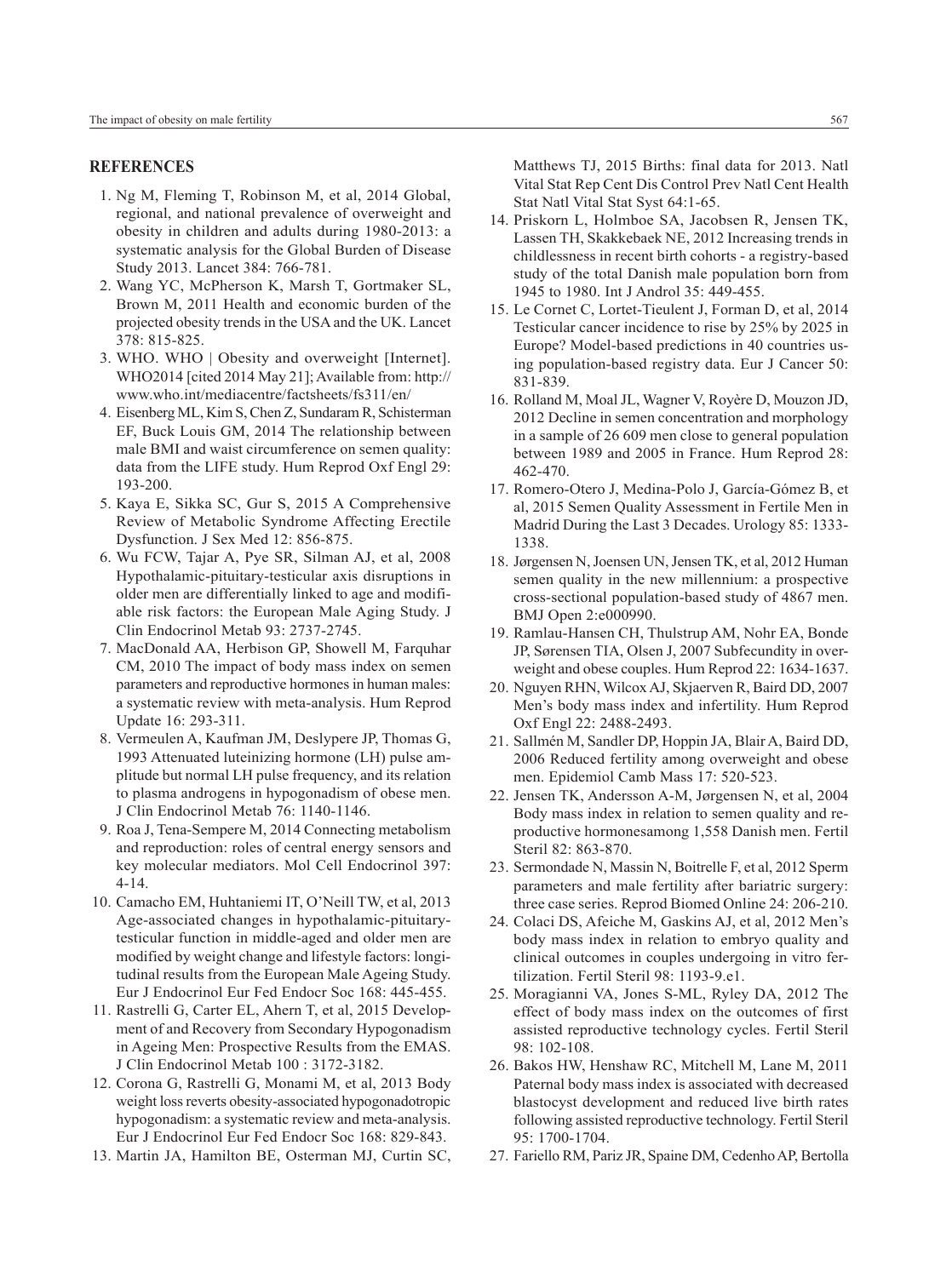#### **References**

- 1. Ng M, Fleming T, Robinson M, et al, 2014 Global, regional, and national prevalence of overweight and obesity in children and adults during 1980-2013: a systematic analysis for the Global Burden of Disease Study 2013. Lancet 384: 766-781.
- 2. Wang YC, McPherson K, Marsh T, Gortmaker SL, Brown M, 2011 Health and economic burden of the projected obesity trends in the USA and the UK. Lancet 378: 815-825.
- 3. WHO. WHO | Obesity and overweight [Internet]. WHO2014 [cited 2014 May 21]; Available from: http:// www.who.int/mediacentre/factsheets/fs311/en/
- 4. Eisenberg ML, Kim S, Chen Z, Sundaram R, Schisterman EF, Buck Louis GM, 2014 The relationship between male BMI and waist circumference on semen quality: data from the LIFE study. Hum Reprod Oxf Engl 29: 193-200.
- 5. Kaya E, Sikka SC, Gur S, 2015 A Comprehensive Review of Metabolic Syndrome Affecting Erectile Dysfunction. J Sex Med 12: 856-875.
- 6. Wu FCW, Tajar A, Pye SR, Silman AJ, et al, 2008 Hypothalamic-pituitary-testicular axis disruptions in older men are differentially linked to age and modifiable risk factors: the European Male Aging Study. J Clin Endocrinol Metab 93: 2737-2745.
- 7. MacDonald AA, Herbison GP, Showell M, Farquhar CM, 2010 The impact of body mass index on semen parameters and reproductive hormones in human males: a systematic review with meta-analysis. Hum Reprod Update 16: 293-311.
- 8. Vermeulen A, Kaufman JM, Deslypere JP, Thomas G, 1993 Attenuated luteinizing hormone (LH) pulse amplitude but normal LH pulse frequency, and its relation to plasma androgens in hypogonadism of obese men. J Clin Endocrinol Metab 76: 1140-1146.
- 9. Roa J, Tena-Sempere M, 2014 Connecting metabolism and reproduction: roles of central energy sensors and key molecular mediators. Mol Cell Endocrinol 397: 4-14.
- 10. Camacho EM, Huhtaniemi IT, O'Neill TW, et al, 2013 Age-associated changes in hypothalamic-pituitarytesticular function in middle-aged and older men are modified by weight change and lifestyle factors: longitudinal results from the European Male Ageing Study. Eur J Endocrinol Eur Fed Endocr Soc 168: 445-455.
- 11. Rastrelli G, Carter EL, Ahern T, et al, 2015 Development of and Recovery from Secondary Hypogonadism in Ageing Men: Prospective Results from the EMAS. J Clin Endocrinol Metab 100 : 3172-3182.
- 12. Corona G, Rastrelli G, Monami M, et al, 2013 Body weight loss reverts obesity-associated hypogonadotropic hypogonadism: a systematic review and meta-analysis. Eur J Endocrinol Eur Fed Endocr Soc 168: 829-843.
- 13. Martin JA, Hamilton BE, Osterman MJ, Curtin SC,

Matthews TJ, 2015 Births: final data for 2013. Natl Vital Stat Rep Cent Dis Control Prev Natl Cent Health Stat Natl Vital Stat Syst 64:1-65.

- 14. Priskorn L, Holmboe SA, Jacobsen R, Jensen TK, Lassen TH, Skakkebaek NE, 2012 Increasing trends in childlessness in recent birth cohorts - a registry-based study of the total Danish male population born from 1945 to 1980. Int J Androl 35: 449-455.
- 15. Le Cornet C, Lortet-Tieulent J, Forman D, et al, 2014 Testicular cancer incidence to rise by 25% by 2025 in Europe? Model-based predictions in 40 countries using population-based registry data. Eur J Cancer 50: 831-839.
- 16. Rolland M, Moal JL, Wagner V, Royère D, Mouzon JD, 2012 Decline in semen concentration and morphology in a sample of 26 609 men close to general population between 1989 and 2005 in France. Hum Reprod 28: 462-470.
- 17. Romero-Otero J, Medina-Polo J, García-Gómez B, et al, 2015 Semen Quality Assessment in Fertile Men in Madrid During the Last 3 Decades. Urology 85: 1333- 1338.
- 18. Jørgensen N, Joensen UN, Jensen TK, et al, 2012 Human semen quality in the new millennium: a prospective cross-sectional population-based study of 4867 men. BMJ Open 2:e000990.
- 19. Ramlau-Hansen CH, Thulstrup AM, Nohr EA, Bonde JP, Sørensen TIA, Olsen J, 2007 Subfecundity in overweight and obese couples. Hum Reprod 22: 1634-1637.
- 20. Nguyen RHN, Wilcox AJ, Skjaerven R, Baird DD, 2007 Men's body mass index and infertility. Hum Reprod Oxf Engl 22: 2488-2493.
- 21. Sallmén M, Sandler DP, Hoppin JA, Blair A, Baird DD, 2006 Reduced fertility among overweight and obese men. Epidemiol Camb Mass 17: 520-523.
- 22. Jensen TK, Andersson A-M, Jørgensen N, et al, 2004 Body mass index in relation to semen quality and reproductive hormonesamong 1,558 Danish men. Fertil Steril 82: 863-870.
- 23. Sermondade N, Massin N, Boitrelle F, et al, 2012 Sperm parameters and male fertility after bariatric surgery: three case series. Reprod Biomed Online 24: 206-210.
- 24. Colaci DS, Afeiche M, Gaskins AJ, et al, 2012 Men's body mass index in relation to embryo quality and clinical outcomes in couples undergoing in vitro fertilization. Fertil Steril 98: 1193-9.e1.
- 25. Moragianni VA, Jones S-ML, Ryley DA, 2012 The effect of body mass index on the outcomes of first assisted reproductive technology cycles. Fertil Steril  $98 \cdot 102 - 108$
- 26. Bakos HW, Henshaw RC, Mitchell M, Lane M, 2011 Paternal body mass index is associated with decreased blastocyst development and reduced live birth rates following assisted reproductive technology. Fertil Steril 95: 1700-1704.
- 27. Fariello RM, Pariz JR, Spaine DM, Cedenho AP, Bertolla